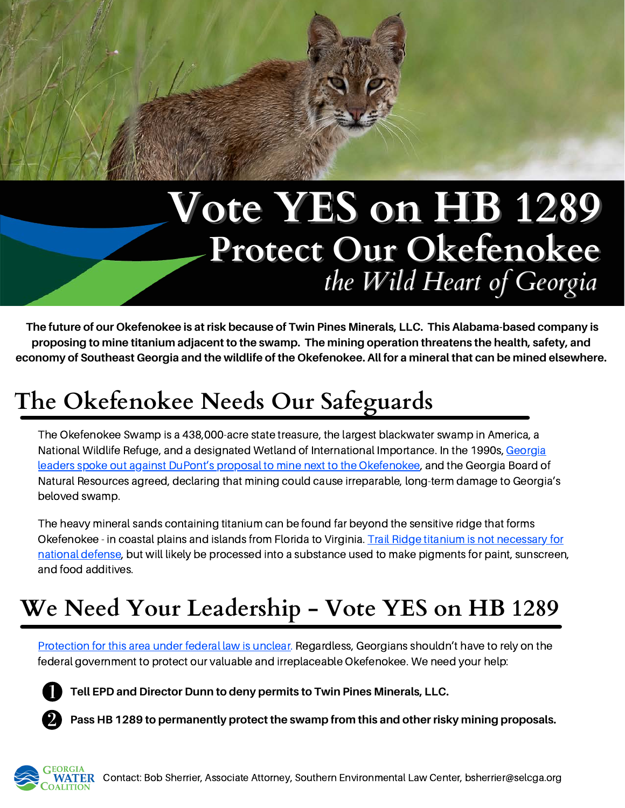# **Protect Our Okefenokee** *the Wild Heart of Georgia* **Vote YES on HB 1289**

**The future of our Okefenokee is at risk because of Twin Pines Minerals, LLC. This Alabama-based company is proposing to mine titanium adjacent to the swamp. The mining operation threatens the health, safety, and economy of Southeast Georgia and the wildlife of the Okefenokee. All for a mineral that can be mined elsewhere.**

## **The Okefenokee Needs Our Safeguards**

The Okefenokee Swamp is a 438,000-acre state treasure, the largest blackwater swamp in America, a National Wildlife Refuge, and a designated Wetland of International Importance. In the 1990s, Georgia leaders spoke out against DuPont's proposal to mine next to the [Okefenokee,](https://drive.google.com/file/d/1_HUixsQFaa27Ivu1wvLPVyFL53M-Xp__/view) and the Georgia Board of Natural Resources agreed, declaring that mining could cause irreparable, long-term damage to Georgia's beloved swamp.

The heavy mineral sands containing titanium can be found far beyond the sensitive ridge that forms [Okefenokee - in](https://saportareport.com/national-defense-does-need-titanium-from-okefenokee-swamp-industry-says/uncategorized/david/) coastal plains and islands from Florida to Virginia. Trail Ridge titanium is not necessary for national defense, but will likely be processed into a substance used to make pigments for paint, sunscreen, and food additives.

### **We Need Your Leadership - Vote YES on HB 1289**

[Protection](https://apnews.com/article/business-environment-and-nature-f57767101b8b3ea4e9c7971657a01acc) for this area under federal law is unclear. Regardless, Georgians shouldn't have to rely on the federal government to protect our valuable and irreplaceable Okefenokee. We need your help:

**Tell EPD and Director Dunn to deny permits to Twin Pines Minerals, LLC.**

**Pass HB 1289 to permanently protect the swamp from this and other risky mining proposals.**